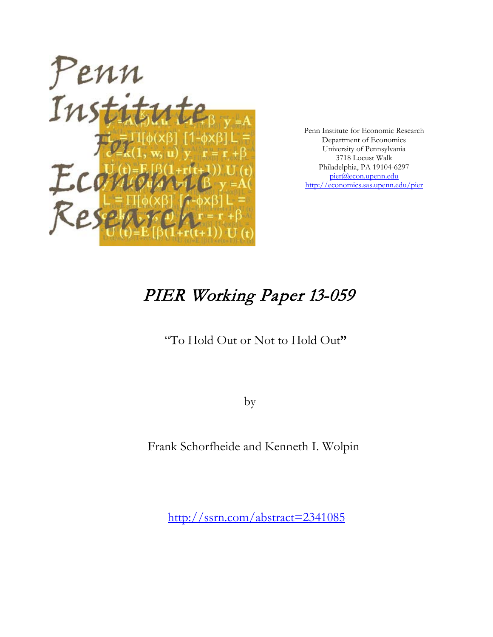

Penn Institute for Economic Research Department of Economics University of Pennsylvania 3718 Locust Walk Philadelphia, PA 19104-6297 [pier@econ.upenn.edu](mailto:pier@econ.upenn.edu) <http://economics.sas.upenn.edu/pier>

# PIER Working Paper 13-059

"To Hold Out or Not to Hold Out**"**

by

Frank Schorfheide and Kenneth I. Wolpin

[http://ssrn.com/abstract=2](http://ssrn.com/abstract_id=)341085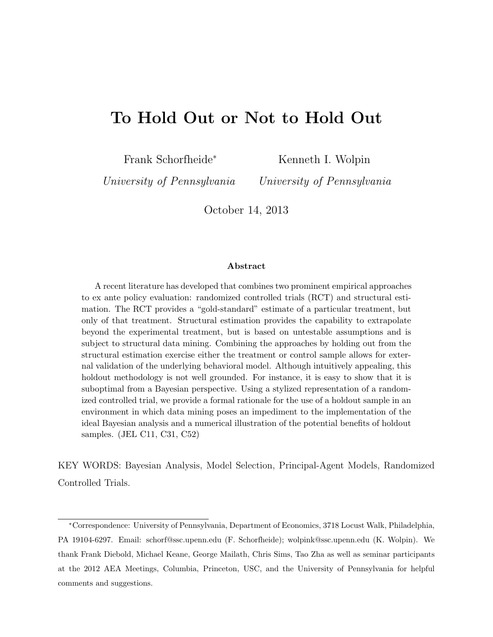## To Hold Out or Not to Hold Out

Frank Schorfheide<sup>∗</sup>

Kenneth I. Wolpin

University of Pennsylvania

University of Pennsylvania

October 14, 2013

#### Abstract

A recent literature has developed that combines two prominent empirical approaches to ex ante policy evaluation: randomized controlled trials (RCT) and structural estimation. The RCT provides a "gold-standard" estimate of a particular treatment, but only of that treatment. Structural estimation provides the capability to extrapolate beyond the experimental treatment, but is based on untestable assumptions and is subject to structural data mining. Combining the approaches by holding out from the structural estimation exercise either the treatment or control sample allows for external validation of the underlying behavioral model. Although intuitively appealing, this holdout methodology is not well grounded. For instance, it is easy to show that it is suboptimal from a Bayesian perspective. Using a stylized representation of a randomized controlled trial, we provide a formal rationale for the use of a holdout sample in an environment in which data mining poses an impediment to the implementation of the ideal Bayesian analysis and a numerical illustration of the potential benefits of holdout samples. (JEL C11, C31, C52)

KEY WORDS: Bayesian Analysis, Model Selection, Principal-Agent Models, Randomized Controlled Trials.

<sup>∗</sup>Correspondence: University of Pennsylvania, Department of Economics, 3718 Locust Walk, Philadelphia, PA 19104-6297. Email: schorf@ssc.upenn.edu (F. Schorfheide); wolpink@ssc.upenn.edu (K. Wolpin). We thank Frank Diebold, Michael Keane, George Mailath, Chris Sims, Tao Zha as well as seminar participants at the 2012 AEA Meetings, Columbia, Princeton, USC, and the University of Pennsylvania for helpful comments and suggestions.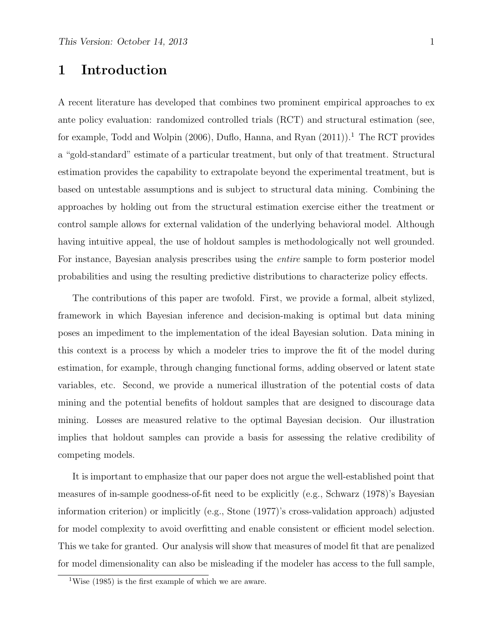### 1 Introduction

A recent literature has developed that combines two prominent empirical approaches to ex ante policy evaluation: randomized controlled trials (RCT) and structural estimation (see, for example, Todd and Wolpin  $(2006)$ , Duflo, Hanna, and Ryan  $(2011)$ ).<sup>1</sup> The RCT provides a "gold-standard" estimate of a particular treatment, but only of that treatment. Structural estimation provides the capability to extrapolate beyond the experimental treatment, but is based on untestable assumptions and is subject to structural data mining. Combining the approaches by holding out from the structural estimation exercise either the treatment or control sample allows for external validation of the underlying behavioral model. Although having intuitive appeal, the use of holdout samples is methodologically not well grounded. For instance, Bayesian analysis prescribes using the entire sample to form posterior model probabilities and using the resulting predictive distributions to characterize policy effects.

The contributions of this paper are twofold. First, we provide a formal, albeit stylized, framework in which Bayesian inference and decision-making is optimal but data mining poses an impediment to the implementation of the ideal Bayesian solution. Data mining in this context is a process by which a modeler tries to improve the fit of the model during estimation, for example, through changing functional forms, adding observed or latent state variables, etc. Second, we provide a numerical illustration of the potential costs of data mining and the potential benefits of holdout samples that are designed to discourage data mining. Losses are measured relative to the optimal Bayesian decision. Our illustration implies that holdout samples can provide a basis for assessing the relative credibility of competing models.

It is important to emphasize that our paper does not argue the well-established point that measures of in-sample goodness-of-fit need to be explicitly (e.g., Schwarz (1978)'s Bayesian information criterion) or implicitly (e.g., Stone (1977)'s cross-validation approach) adjusted for model complexity to avoid overfitting and enable consistent or efficient model selection. This we take for granted. Our analysis will show that measures of model fit that are penalized for model dimensionality can also be misleading if the modeler has access to the full sample,

<sup>&</sup>lt;sup>1</sup>Wise (1985) is the first example of which we are aware.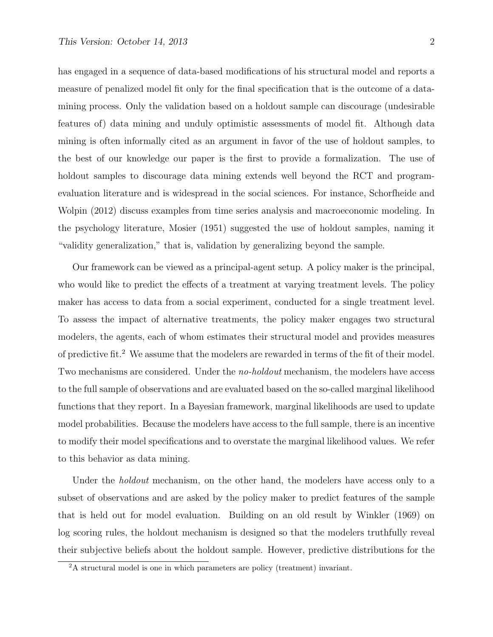has engaged in a sequence of data-based modifications of his structural model and reports a measure of penalized model fit only for the final specification that is the outcome of a datamining process. Only the validation based on a holdout sample can discourage (undesirable features of) data mining and unduly optimistic assessments of model fit. Although data mining is often informally cited as an argument in favor of the use of holdout samples, to the best of our knowledge our paper is the first to provide a formalization. The use of holdout samples to discourage data mining extends well beyond the RCT and programevaluation literature and is widespread in the social sciences. For instance, Schorfheide and Wolpin (2012) discuss examples from time series analysis and macroeconomic modeling. In the psychology literature, Mosier (1951) suggested the use of holdout samples, naming it "validity generalization," that is, validation by generalizing beyond the sample.

Our framework can be viewed as a principal-agent setup. A policy maker is the principal, who would like to predict the effects of a treatment at varying treatment levels. The policy maker has access to data from a social experiment, conducted for a single treatment level. To assess the impact of alternative treatments, the policy maker engages two structural modelers, the agents, each of whom estimates their structural model and provides measures of predictive fit.<sup>2</sup> We assume that the modelers are rewarded in terms of the fit of their model. Two mechanisms are considered. Under the *no-holdout* mechanism, the modelers have access to the full sample of observations and are evaluated based on the so-called marginal likelihood functions that they report. In a Bayesian framework, marginal likelihoods are used to update model probabilities. Because the modelers have access to the full sample, there is an incentive to modify their model specifications and to overstate the marginal likelihood values. We refer to this behavior as data mining.

Under the *holdout* mechanism, on the other hand, the modelers have access only to a subset of observations and are asked by the policy maker to predict features of the sample that is held out for model evaluation. Building on an old result by Winkler (1969) on log scoring rules, the holdout mechanism is designed so that the modelers truthfully reveal their subjective beliefs about the holdout sample. However, predictive distributions for the

<sup>2</sup>A structural model is one in which parameters are policy (treatment) invariant.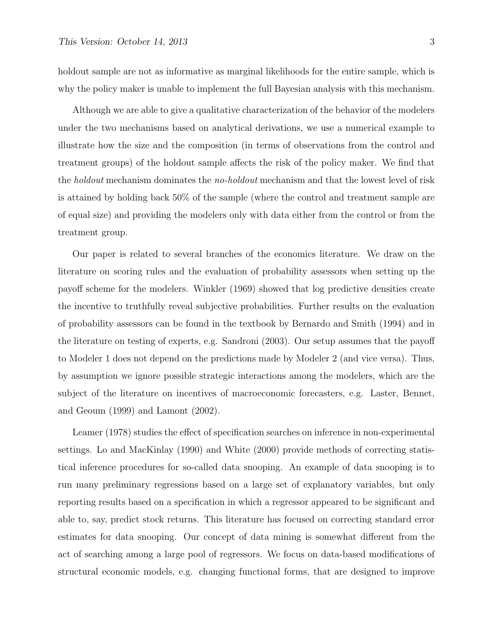holdout sample are not as informative as marginal likelihoods for the entire sample, which is why the policy maker is unable to implement the full Bayesian analysis with this mechanism.

Although we are able to give a qualitative characterization of the behavior of the modelers under the two mechanisms based on analytical derivations, we use a numerical example to illustrate how the size and the composition (in terms of observations from the control and treatment groups) of the holdout sample affects the risk of the policy maker. We find that the holdout mechanism dominates the no-holdout mechanism and that the lowest level of risk is attained by holding back 50% of the sample (where the control and treatment sample are of equal size) and providing the modelers only with data either from the control or from the treatment group.

Our paper is related to several branches of the economics literature. We draw on the literature on scoring rules and the evaluation of probability assessors when setting up the payoff scheme for the modelers. Winkler (1969) showed that log predictive densities create the incentive to truthfully reveal subjective probabilities. Further results on the evaluation of probability assessors can be found in the textbook by Bernardo and Smith (1994) and in the literature on testing of experts, e.g. Sandroni (2003). Our setup assumes that the payoff to Modeler 1 does not depend on the predictions made by Modeler 2 (and vice versa). Thus, by assumption we ignore possible strategic interactions among the modelers, which are the subject of the literature on incentives of macroeconomic forecasters, e.g. Laster, Bennet, and Geoum (1999) and Lamont (2002).

Leamer (1978) studies the effect of specification searches on inference in non-experimental settings. Lo and MacKinlay (1990) and White (2000) provide methods of correcting statistical inference procedures for so-called data snooping. An example of data snooping is to run many preliminary regressions based on a large set of explanatory variables, but only reporting results based on a specification in which a regressor appeared to be significant and able to, say, predict stock returns. This literature has focused on correcting standard error estimates for data snooping. Our concept of data mining is somewhat different from the act of searching among a large pool of regressors. We focus on data-based modifications of structural economic models, e.g. changing functional forms, that are designed to improve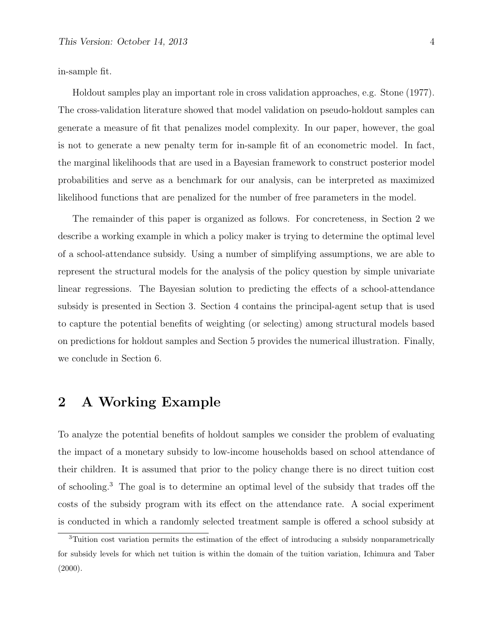in-sample fit.

Holdout samples play an important role in cross validation approaches, e.g. Stone (1977). The cross-validation literature showed that model validation on pseudo-holdout samples can generate a measure of fit that penalizes model complexity. In our paper, however, the goal is not to generate a new penalty term for in-sample fit of an econometric model. In fact, the marginal likelihoods that are used in a Bayesian framework to construct posterior model probabilities and serve as a benchmark for our analysis, can be interpreted as maximized likelihood functions that are penalized for the number of free parameters in the model.

The remainder of this paper is organized as follows. For concreteness, in Section 2 we describe a working example in which a policy maker is trying to determine the optimal level of a school-attendance subsidy. Using a number of simplifying assumptions, we are able to represent the structural models for the analysis of the policy question by simple univariate linear regressions. The Bayesian solution to predicting the effects of a school-attendance subsidy is presented in Section 3. Section 4 contains the principal-agent setup that is used to capture the potential benefits of weighting (or selecting) among structural models based on predictions for holdout samples and Section 5 provides the numerical illustration. Finally, we conclude in Section 6.

### 2 A Working Example

To analyze the potential benefits of holdout samples we consider the problem of evaluating the impact of a monetary subsidy to low-income households based on school attendance of their children. It is assumed that prior to the policy change there is no direct tuition cost of schooling.<sup>3</sup> The goal is to determine an optimal level of the subsidy that trades off the costs of the subsidy program with its effect on the attendance rate. A social experiment is conducted in which a randomly selected treatment sample is offered a school subsidy at

<sup>3</sup>Tuition cost variation permits the estimation of the effect of introducing a subsidy nonparametrically for subsidy levels for which net tuition is within the domain of the tuition variation, Ichimura and Taber  $(2000).$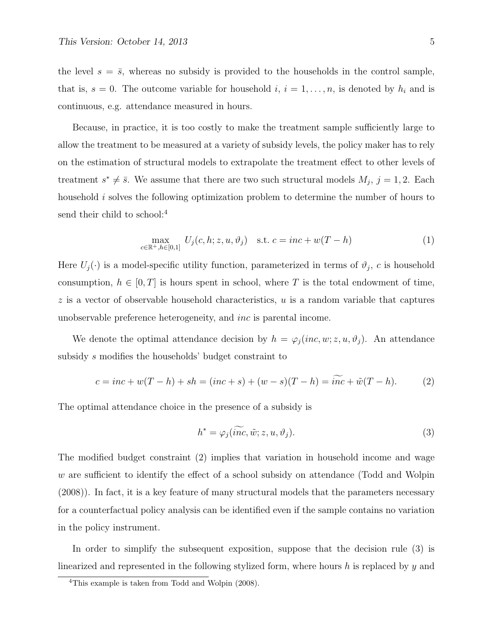the level  $s = \bar{s}$ , whereas no subsidy is provided to the households in the control sample, that is,  $s = 0$ . The outcome variable for household i,  $i = 1, \ldots, n$ , is denoted by  $h_i$  and is continuous, e.g. attendance measured in hours.

Because, in practice, it is too costly to make the treatment sample sufficiently large to allow the treatment to be measured at a variety of subsidy levels, the policy maker has to rely on the estimation of structural models to extrapolate the treatment effect to other levels of treatment  $s^* \neq \overline{s}$ . We assume that there are two such structural models  $M_j$ ,  $j = 1, 2$ . Each household i solves the following optimization problem to determine the number of hours to send their child to school:<sup>4</sup>

$$
\max_{c \in \mathbb{R}^+, h \in [0,1]} U_j(c, h; z, u, \vartheta_j) \quad \text{s.t. } c = inc + w(T - h)
$$
 (1)

Here  $U_j(\cdot)$  is a model-specific utility function, parameterized in terms of  $\vartheta_j$ , c is household consumption,  $h \in [0, T]$  is hours spent in school, where T is the total endowment of time,  $z$  is a vector of observable household characteristics,  $u$  is a random variable that captures unobservable preference heterogeneity, and inc is parental income.

We denote the optimal attendance decision by  $h = \varphi_j(inc, w; z, u, \vartheta_j)$ . An attendance subsidy s modifies the households' budget constraint to

$$
c = inc + w(T - h) + sh = (inc + s) + (w - s)(T - h) = inc + \tilde{w}(T - h).
$$
 (2)

The optimal attendance choice in the presence of a subsidy is

$$
h^* = \varphi_j(\widetilde{inc}, \widetilde{w}; z, u, \vartheta_j). \tag{3}
$$

The modified budget constraint (2) implies that variation in household income and wage w are sufficient to identify the effect of a school subsidy on attendance (Todd and Wolpin (2008)). In fact, it is a key feature of many structural models that the parameters necessary for a counterfactual policy analysis can be identified even if the sample contains no variation in the policy instrument.

In order to simplify the subsequent exposition, suppose that the decision rule (3) is linearized and represented in the following stylized form, where hours  $h$  is replaced by  $y$  and

<sup>4</sup>This example is taken from Todd and Wolpin (2008).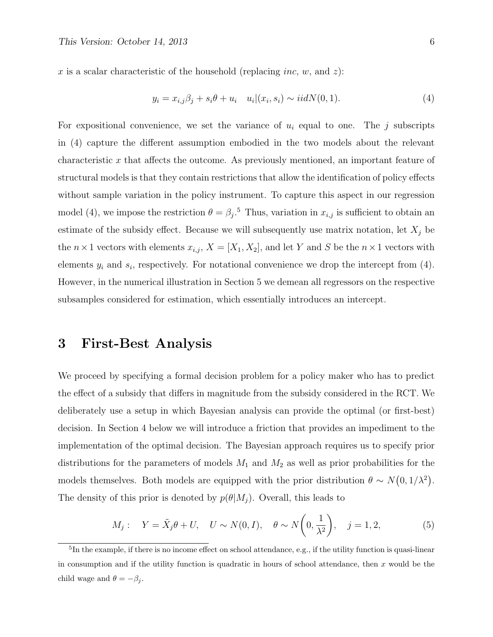x is a scalar characteristic of the household (replacing *inc, w*, and z):

$$
y_i = x_{i,j}\beta_j + s_i\theta + u_i \quad u_i|(x_i, s_i) \sim iidN(0, 1). \tag{4}
$$

For expositional convenience, we set the variance of  $u_i$  equal to one. The j subscripts in (4) capture the different assumption embodied in the two models about the relevant characteristic  $x$  that affects the outcome. As previously mentioned, an important feature of structural models is that they contain restrictions that allow the identification of policy effects without sample variation in the policy instrument. To capture this aspect in our regression model (4), we impose the restriction  $\theta = \beta_j$ .<sup>5</sup> Thus, variation in  $x_{i,j}$  is sufficient to obtain an estimate of the subsidy effect. Because we will subsequently use matrix notation, let  $X_j$  be the  $n \times 1$  vectors with elements  $x_{i,j}$ ,  $X = [X_1, X_2]$ , and let Y and S be the  $n \times 1$  vectors with elements  $y_i$  and  $s_i$ , respectively. For notational convenience we drop the intercept from (4). However, in the numerical illustration in Section 5 we demean all regressors on the respective subsamples considered for estimation, which essentially introduces an intercept.

### 3 First-Best Analysis

We proceed by specifying a formal decision problem for a policy maker who has to predict the effect of a subsidy that differs in magnitude from the subsidy considered in the RCT. We deliberately use a setup in which Bayesian analysis can provide the optimal (or first-best) decision. In Section 4 below we will introduce a friction that provides an impediment to the implementation of the optimal decision. The Bayesian approach requires us to specify prior distributions for the parameters of models  $M_1$  and  $M_2$  as well as prior probabilities for the models themselves. Both models are equipped with the prior distribution  $\theta \sim N(0, 1/\lambda^2)$ . The density of this prior is denoted by  $p(\theta|M_i)$ . Overall, this leads to

$$
M_j: \quad Y = \tilde{X}_j \theta + U, \quad U \sim N(0, I), \quad \theta \sim N\left(0, \frac{1}{\lambda^2}\right), \quad j = 1, 2,\tag{5}
$$

<sup>&</sup>lt;sup>5</sup>In the example, if there is no income effect on school attendance, e.g., if the utility function is quasi-linear in consumption and if the utility function is quadratic in hours of school attendance, then  $x$  would be the child wage and  $\theta = -\beta_j$ .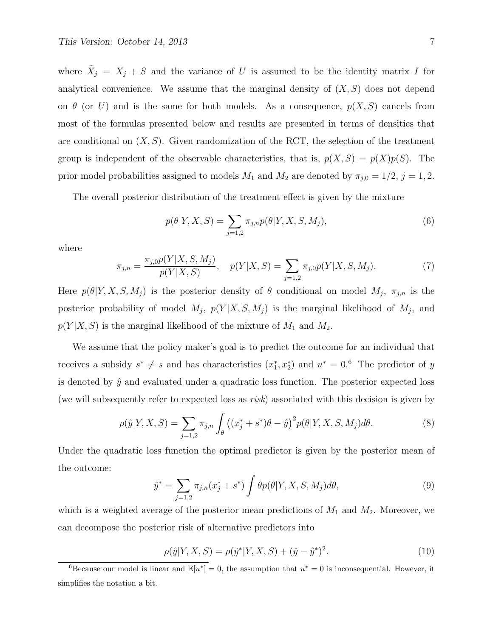where  $\tilde{X}_j = X_j + S$  and the variance of U is assumed to be the identity matrix I for analytical convenience. We assume that the marginal density of  $(X, S)$  does not depend on  $\theta$  (or U) and is the same for both models. As a consequence,  $p(X, S)$  cancels from most of the formulas presented below and results are presented in terms of densities that are conditional on  $(X, S)$ . Given randomization of the RCT, the selection of the treatment group is independent of the observable characteristics, that is,  $p(X, S) = p(X)p(S)$ . The prior model probabilities assigned to models  $M_1$  and  $M_2$  are denoted by  $\pi_{j,0} = 1/2$ ,  $j = 1, 2$ .

The overall posterior distribution of the treatment effect is given by the mixture

$$
p(\theta|Y, X, S) = \sum_{j=1,2} \pi_{j,n} p(\theta|Y, X, S, M_j),
$$
\n(6)

where

$$
\pi_{j,n} = \frac{\pi_{j,0}p(Y|X, S, M_j)}{p(Y|X, S)}, \quad p(Y|X, S) = \sum_{j=1,2} \pi_{j,0}p(Y|X, S, M_j). \tag{7}
$$

Here  $p(\theta|Y, X, S, M_j)$  is the posterior density of  $\theta$  conditional on model  $M_j$ ,  $\pi_{j,n}$  is the posterior probability of model  $M_j$ ,  $p(Y|X, S, M_j)$  is the marginal likelihood of  $M_j$ , and  $p(Y|X, S)$  is the marginal likelihood of the mixture of  $M_1$  and  $M_2$ .

We assume that the policy maker's goal is to predict the outcome for an individual that receives a subsidy  $s^* \neq s$  and has characteristics  $(x_1^*, x_2^*)$  and  $u^* = 0.6$  The predictor of y is denoted by  $\hat{y}$  and evaluated under a quadratic loss function. The posterior expected loss (we will subsequently refer to expected loss as *risk*) associated with this decision is given by

$$
\rho(\hat{y}|Y, X, S) = \sum_{j=1,2} \pi_{j,n} \int_{\theta} ((x_j^* + s^*)\theta - \hat{y})^2 p(\theta|Y, X, S, M_j) d\theta.
$$
 (8)

Under the quadratic loss function the optimal predictor is given by the posterior mean of the outcome:

$$
\hat{y}^* = \sum_{j=1,2} \pi_{j,n}(x_j^* + s^*) \int \theta p(\theta|Y, X, S, M_j) d\theta,
$$
\n(9)

which is a weighted average of the posterior mean predictions of  $M_1$  and  $M_2$ . Moreover, we can decompose the posterior risk of alternative predictors into

$$
\rho(\hat{y}|Y, X, S) = \rho(\hat{y}^*|Y, X, S) + (\hat{y} - \hat{y}^*)^2.
$$
\n(10)

<sup>&</sup>lt;sup>6</sup>Because our model is linear and  $\mathbb{E}[u^*]=0$ , the assumption that  $u^*=0$  is inconsequential. However, it simplifies the notation a bit.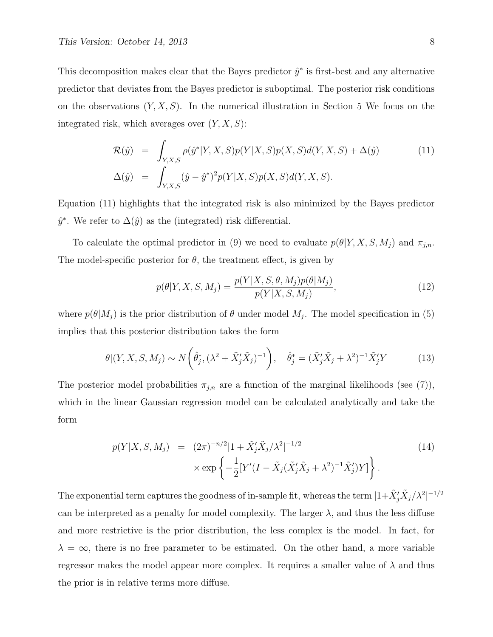This decomposition makes clear that the Bayes predictor  $\hat{y}^*$  is first-best and any alternative predictor that deviates from the Bayes predictor is suboptimal. The posterior risk conditions on the observations  $(Y, X, S)$ . In the numerical illustration in Section 5 We focus on the integrated risk, which averages over  $(Y, X, S)$ :

$$
\mathcal{R}(\hat{y}) = \int_{Y,X,S} \rho(\hat{y}^* | Y, X, S) p(Y | X, S) p(X, S) d(Y, X, S) + \Delta(\hat{y})
$$
\n
$$
\Delta(\hat{y}) = \int_{Y,X,S} (\hat{y} - \hat{y}^*)^2 p(Y | X, S) p(X, S) d(Y, X, S).
$$
\n(11)

Equation (11) highlights that the integrated risk is also minimized by the Bayes predictor  $\hat{y}^*$ . We refer to  $\Delta(\hat{y})$  as the (integrated) risk differential.

To calculate the optimal predictor in (9) we need to evaluate  $p(\theta|Y, X, S, M_j)$  and  $\pi_{j,n}$ . The model-specific posterior for  $\theta$ , the treatment effect, is given by

$$
p(\theta|Y, X, S, M_j) = \frac{p(Y|X, S, \theta, M_j)p(\theta|M_j)}{p(Y|X, S, M_j)},
$$
\n(12)

where  $p(\theta|M_j)$  is the prior distribution of  $\theta$  under model  $M_j$ . The model specification in (5) implies that this posterior distribution takes the form

$$
\theta|(Y, X, S, M_j) \sim N\left(\hat{\theta}_j^*, (\lambda^2 + \tilde{X}_j' \tilde{X}_j)^{-1}\right), \quad \hat{\theta}_j^* = (\tilde{X}_j' \tilde{X}_j + \lambda^2)^{-1} \tilde{X}_j' Y \tag{13}
$$

The posterior model probabilities  $\pi_{j,n}$  are a function of the marginal likelihoods (see (7)), which in the linear Gaussian regression model can be calculated analytically and take the form

$$
p(Y|X, S, M_j) = (2\pi)^{-n/2} |1 + \tilde{X}'_j \tilde{X}_j / \lambda^2|^{-1/2}
$$
  
 
$$
\times \exp\left\{-\frac{1}{2} [Y'(I - \tilde{X}_j(\tilde{X}'_j \tilde{X}_j + \lambda^2)^{-1} \tilde{X}'_j) Y] \right\}.
$$
 (14)

The exponential term captures the goodness of in-sample fit, whereas the term  $|1+\tilde{X}'_j\tilde{X}_j/\lambda^2|^{-1/2}$ can be interpreted as a penalty for model complexity. The larger  $\lambda$ , and thus the less diffuse and more restrictive is the prior distribution, the less complex is the model. In fact, for  $\lambda = \infty$ , there is no free parameter to be estimated. On the other hand, a more variable regressor makes the model appear more complex. It requires a smaller value of  $\lambda$  and thus the prior is in relative terms more diffuse.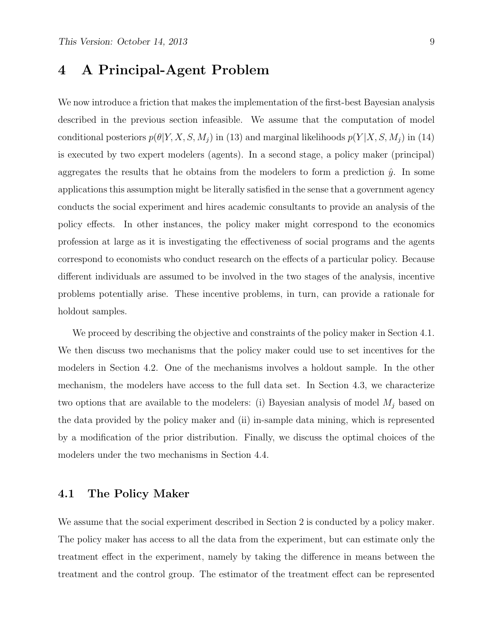### 4 A Principal-Agent Problem

We now introduce a friction that makes the implementation of the first-best Bayesian analysis described in the previous section infeasible. We assume that the computation of model conditional posteriors  $p(\theta|Y, X, S, M_j)$  in (13) and marginal likelihoods  $p(Y|X, S, M_j)$  in (14) is executed by two expert modelers (agents). In a second stage, a policy maker (principal) aggregates the results that he obtains from the modelers to form a prediction  $\hat{y}$ . In some applications this assumption might be literally satisfied in the sense that a government agency conducts the social experiment and hires academic consultants to provide an analysis of the policy effects. In other instances, the policy maker might correspond to the economics profession at large as it is investigating the effectiveness of social programs and the agents correspond to economists who conduct research on the effects of a particular policy. Because different individuals are assumed to be involved in the two stages of the analysis, incentive problems potentially arise. These incentive problems, in turn, can provide a rationale for holdout samples.

We proceed by describing the objective and constraints of the policy maker in Section 4.1. We then discuss two mechanisms that the policy maker could use to set incentives for the modelers in Section 4.2. One of the mechanisms involves a holdout sample. In the other mechanism, the modelers have access to the full data set. In Section 4.3, we characterize two options that are available to the modelers: (i) Bayesian analysis of model  $M_j$  based on the data provided by the policy maker and (ii) in-sample data mining, which is represented by a modification of the prior distribution. Finally, we discuss the optimal choices of the modelers under the two mechanisms in Section 4.4.

#### 4.1 The Policy Maker

We assume that the social experiment described in Section 2 is conducted by a policy maker. The policy maker has access to all the data from the experiment, but can estimate only the treatment effect in the experiment, namely by taking the difference in means between the treatment and the control group. The estimator of the treatment effect can be represented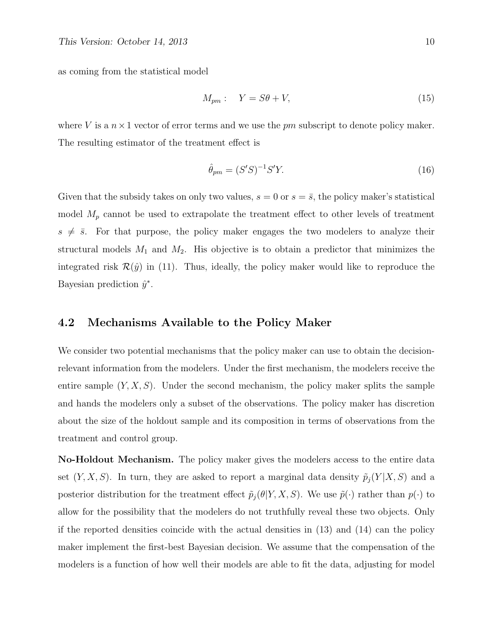as coming from the statistical model

$$
M_{pm}: Y = S\theta + V,\t\t(15)
$$

where V is a  $n \times 1$  vector of error terms and we use the pm subscript to denote policy maker. The resulting estimator of the treatment effect is

$$
\hat{\theta}_{pm} = (S'S)^{-1}S'Y.\tag{16}
$$

Given that the subsidy takes on only two values,  $s = 0$  or  $s = \overline{s}$ , the policy maker's statistical model  $M_p$  cannot be used to extrapolate the treatment effect to other levels of treatment  $s \neq \overline{s}$ . For that purpose, the policy maker engages the two modelers to analyze their structural models  $M_1$  and  $M_2$ . His objective is to obtain a predictor that minimizes the integrated risk  $\mathcal{R}(\hat{y})$  in (11). Thus, ideally, the policy maker would like to reproduce the Bayesian prediction  $\hat{y}^*$ .

### 4.2 Mechanisms Available to the Policy Maker

We consider two potential mechanisms that the policy maker can use to obtain the decisionrelevant information from the modelers. Under the first mechanism, the modelers receive the entire sample  $(Y, X, S)$ . Under the second mechanism, the policy maker splits the sample and hands the modelers only a subset of the observations. The policy maker has discretion about the size of the holdout sample and its composition in terms of observations from the treatment and control group.

No-Holdout Mechanism. The policy maker gives the modelers access to the entire data set  $(Y, X, S)$ . In turn, they are asked to report a marginal data density  $\tilde{p}_j(Y|X, S)$  and a posterior distribution for the treatment effect  $\tilde{p}_j(\theta|Y, X, S)$ . We use  $\tilde{p}(\cdot)$  rather than  $p(\cdot)$  to allow for the possibility that the modelers do not truthfully reveal these two objects. Only if the reported densities coincide with the actual densities in (13) and (14) can the policy maker implement the first-best Bayesian decision. We assume that the compensation of the modelers is a function of how well their models are able to fit the data, adjusting for model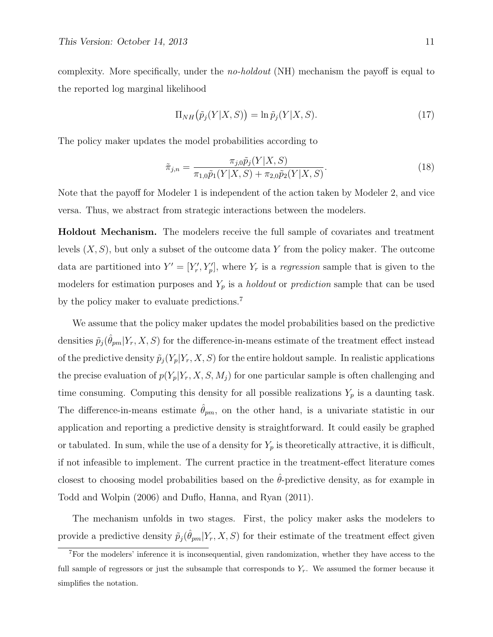complexity. More specifically, under the no-holdout (NH) mechanism the payoff is equal to the reported log marginal likelihood

$$
\Pi_{NH}(\tilde{p}_j(Y|X,S)) = \ln \tilde{p}_j(Y|X,S).
$$
\n(17)

The policy maker updates the model probabilities according to

$$
\tilde{\pi}_{j,n} = \frac{\pi_{j,0}\tilde{p}_j(Y|X,S)}{\pi_{1,0}\tilde{p}_1(Y|X,S) + \pi_{2,0}\tilde{p}_2(Y|X,S)}.
$$
\n(18)

Note that the payoff for Modeler 1 is independent of the action taken by Modeler 2, and vice versa. Thus, we abstract from strategic interactions between the modelers.

Holdout Mechanism. The modelers receive the full sample of covariates and treatment levels  $(X, S)$ , but only a subset of the outcome data Y from the policy maker. The outcome data are partitioned into  $Y' = [Y'_r, Y'_p]$ , where  $Y_r$  is a *regression* sample that is given to the modelers for estimation purposes and  $Y_p$  is a *holdout* or *prediction* sample that can be used by the policy maker to evaluate predictions.<sup>7</sup>

We assume that the policy maker updates the model probabilities based on the predictive densities  $\tilde{p}_j(\hat{\theta}_{pm}|Y_r, X, S)$  for the difference-in-means estimate of the treatment effect instead of the predictive density  $\tilde{p}_j(Y_p|Y_r, X, S)$  for the entire holdout sample. In realistic applications the precise evaluation of  $p(Y_p|Y_r, X, S, M_j)$  for one particular sample is often challenging and time consuming. Computing this density for all possible realizations  $Y_p$  is a daunting task. The difference-in-means estimate  $\hat{\theta}_{pm}$ , on the other hand, is a univariate statistic in our application and reporting a predictive density is straightforward. It could easily be graphed or tabulated. In sum, while the use of a density for  $Y_p$  is theoretically attractive, it is difficult, if not infeasible to implement. The current practice in the treatment-effect literature comes closest to choosing model probabilities based on the  $\hat{\theta}$ -predictive density, as for example in Todd and Wolpin (2006) and Duflo, Hanna, and Ryan (2011).

The mechanism unfolds in two stages. First, the policy maker asks the modelers to provide a predictive density  $\tilde{p}_j(\hat{\theta}_{pm}|Y_r, X, S)$  for their estimate of the treatment effect given

<sup>7</sup>For the modelers' inference it is inconsequential, given randomization, whether they have access to the full sample of regressors or just the subsample that corresponds to  $Y_r$ . We assumed the former because it simplifies the notation.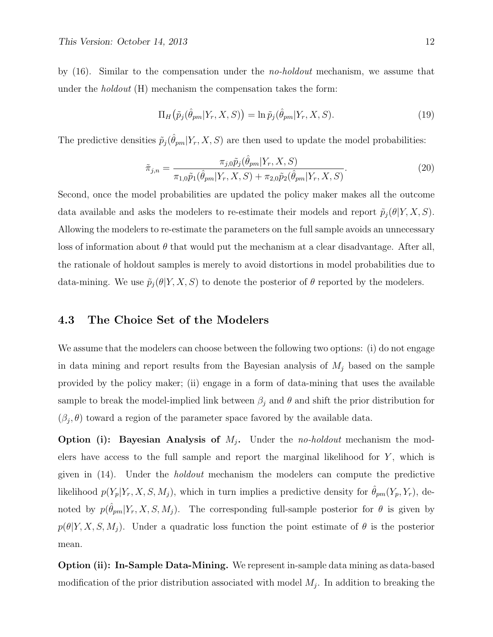by (16). Similar to the compensation under the no-holdout mechanism, we assume that under the holdout (H) mechanism the compensation takes the form:

$$
\Pi_H(\tilde{p}_j(\hat{\theta}_{pm}|Y_r, X, S)) = \ln \tilde{p}_j(\hat{\theta}_{pm}|Y_r, X, S).
$$
\n(19)

The predictive densities  $\tilde{p}_j(\hat{\theta}_{pm}|Y_r, X, S)$  are then used to update the model probabilities:

$$
\tilde{\pi}_{j,n} = \frac{\pi_{j,0}\tilde{p}_j(\hat{\theta}_{pm}|Y_r, X, S)}{\pi_{1,0}\tilde{p}_1(\hat{\theta}_{pm}|Y_r, X, S) + \pi_{2,0}\tilde{p}_2(\hat{\theta}_{pm}|Y_r, X, S)}.
$$
\n(20)

Second, once the model probabilities are updated the policy maker makes all the outcome data available and asks the modelers to re-estimate their models and report  $\tilde{p}_j(\theta|Y, X, S)$ . Allowing the modelers to re-estimate the parameters on the full sample avoids an unnecessary loss of information about  $\theta$  that would put the mechanism at a clear disadvantage. After all, the rationale of holdout samples is merely to avoid distortions in model probabilities due to data-mining. We use  $\tilde{p}_j(\theta|Y, X, S)$  to denote the posterior of  $\theta$  reported by the modelers.

#### 4.3 The Choice Set of the Modelers

We assume that the modelers can choose between the following two options: (i) do not engage in data mining and report results from the Bayesian analysis of  $M_j$  based on the sample provided by the policy maker; (ii) engage in a form of data-mining that uses the available sample to break the model-implied link between  $\beta_j$  and  $\theta$  and shift the prior distribution for  $(\beta_j, \theta)$  toward a region of the parameter space favored by the available data.

**Option (i): Bayesian Analysis of**  $M_i$ **.** Under the *no-holdout* mechanism the modelers have access to the full sample and report the marginal likelihood for  $Y$ , which is given in (14). Under the holdout mechanism the modelers can compute the predictive likelihood  $p(Y_p|Y_r, X, S, M_j)$ , which in turn implies a predictive density for  $\hat{\theta}_{pm}(Y_p, Y_r)$ , denoted by  $p(\hat{\theta}_{pm}|Y_r, X, S, M_j)$ . The corresponding full-sample posterior for  $\theta$  is given by  $p(\theta|Y, X, S, M_i)$ . Under a quadratic loss function the point estimate of  $\theta$  is the posterior mean.

Option (ii): In-Sample Data-Mining. We represent in-sample data mining as data-based modification of the prior distribution associated with model  $M_j$ . In addition to breaking the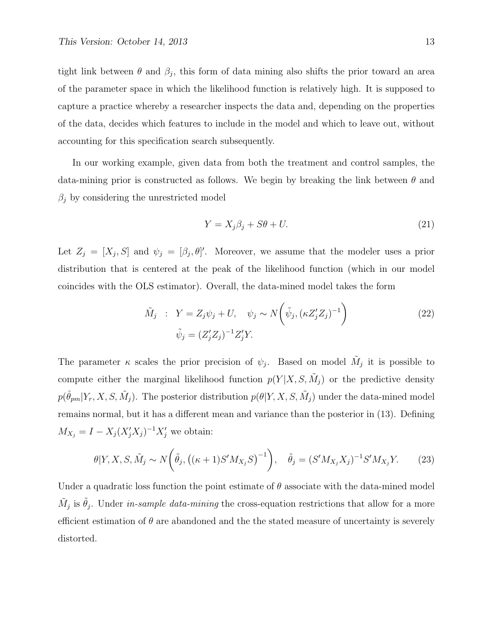tight link between  $\theta$  and  $\beta_j$ , this form of data mining also shifts the prior toward an area of the parameter space in which the likelihood function is relatively high. It is supposed to capture a practice whereby a researcher inspects the data and, depending on the properties of the data, decides which features to include in the model and which to leave out, without accounting for this specification search subsequently.

In our working example, given data from both the treatment and control samples, the data-mining prior is constructed as follows. We begin by breaking the link between  $\theta$  and  $\beta_i$  by considering the unrestricted model

$$
Y = X_j \beta_j + S\theta + U. \tag{21}
$$

Let  $Z_j = [X_j, S]$  and  $\psi_j = [\beta_j, \theta]'$ . Moreover, we assume that the modeler uses a prior distribution that is centered at the peak of the likelihood function (which in our model coincides with the OLS estimator). Overall, the data-mined model takes the form

$$
\tilde{M}_j \quad : \quad Y = Z_j \psi_j + U, \quad \psi_j \sim N\left(\tilde{\psi}_j, (\kappa Z'_j Z_j)^{-1}\right)
$$
\n
$$
\tilde{\psi}_j = (Z'_j Z_j)^{-1} Z'_j Y. \tag{22}
$$

The parameter  $\kappa$  scales the prior precision of  $\psi_j$ . Based on model  $\tilde{M}_j$  it is possible to compute either the marginal likelihood function  $p(Y|X, S, \tilde{M}_j)$  or the predictive density  $p(\hat{\theta}_{pm}|Y_r, X, S, \tilde{M}_j)$ . The posterior distribution  $p(\theta|Y, X, S, \tilde{M}_j)$  under the data-mined model remains normal, but it has a different mean and variance than the posterior in (13). Defining  $M_{X_j} = I - X_j (X'_j X_j)^{-1} X'_j$  we obtain:

$$
\theta|Y, X, S, \tilde{M}_j \sim N\bigg(\tilde{\theta}_j, \left((\kappa+1)S'M_{X_j}S\right)^{-1}\bigg), \quad \tilde{\theta}_j = (S'M_{X_j}X_j)^{-1}S'M_{X_j}Y. \tag{23}
$$

Under a quadratic loss function the point estimate of  $\theta$  associate with the data-mined model  $\tilde{M}_j$  is  $\tilde{\theta}_j$ . Under *in-sample data-mining* the cross-equation restrictions that allow for a more efficient estimation of  $\theta$  are abandoned and the the stated measure of uncertainty is severely distorted.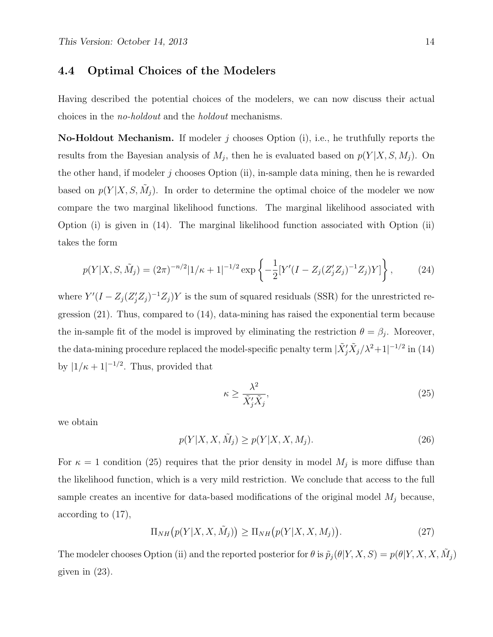#### 4.4 Optimal Choices of the Modelers

Having described the potential choices of the modelers, we can now discuss their actual choices in the no-holdout and the holdout mechanisms.

**No-Holdout Mechanism.** If modeler j chooses Option (i), i.e., he truthfully reports the results from the Bayesian analysis of  $M_j$ , then he is evaluated based on  $p(Y|X, S, M_j)$ . On the other hand, if modeler  $j$  chooses Option (ii), in-sample data mining, then he is rewarded based on  $p(Y|X, S, \tilde{M}_j)$ . In order to determine the optimal choice of the modeler we now compare the two marginal likelihood functions. The marginal likelihood associated with Option (i) is given in (14). The marginal likelihood function associated with Option (ii) takes the form

$$
p(Y|X, S, \tilde{M}_j) = (2\pi)^{-n/2} |1/\kappa + 1|^{-1/2} \exp\left\{-\frac{1}{2} [Y'(I - Z_j(Z'_j Z_j)^{-1} Z_j)Y]\right\},\tag{24}
$$

where  $Y'(I - Z_j(Z_j'Z_j)^{-1}Z_j)Y$  is the sum of squared residuals (SSR) for the unrestricted regression (21). Thus, compared to (14), data-mining has raised the exponential term because the in-sample fit of the model is improved by eliminating the restriction  $\theta = \beta_j$ . Moreover, the data-mining procedure replaced the model-specific penalty term  $|\tilde{X}'_j\tilde{X}_j/\lambda^2+1|^{-1/2}$  in (14) by  $|1/\kappa+1|^{-1/2}$ . Thus, provided that

$$
\kappa \ge \frac{\lambda^2}{\tilde{X}_j' \tilde{X}_j},\tag{25}
$$

we obtain

$$
p(Y|X, X, \tilde{M}_j) \ge p(Y|X, X, M_j). \tag{26}
$$

For  $\kappa = 1$  condition (25) requires that the prior density in model  $M_j$  is more diffuse than the likelihood function, which is a very mild restriction. We conclude that access to the full sample creates an incentive for data-based modifications of the original model  $M_j$  because, according to (17),

$$
\Pi_{NH}\big(p(Y|X,X,\tilde{M}_j)\big) \ge \Pi_{NH}\big(p(Y|X,X,M_j)\big). \tag{27}
$$

The modeler chooses Option (ii) and the reported posterior for  $\theta$  is  $\tilde{p}_j(\theta|Y,X,S) = p(\theta|Y,X,X,\tilde{M}_j)$ given in (23).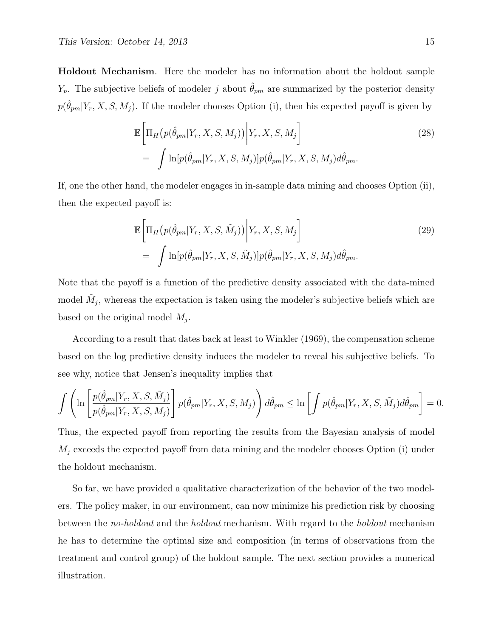Holdout Mechanism. Here the modeler has no information about the holdout sample  $Y_p$ . The subjective beliefs of modeler j about  $\hat{\theta}_{pm}$  are summarized by the posterior density  $p(\hat{\theta}_{pm}|Y_r, X, S, M_j)$ . If the modeler chooses Option (i), then his expected payoff is given by

$$
\mathbb{E}\bigg[\Pi_H\big(p(\hat{\theta}_{pm}|Y_r, X, S, M_j)\big)\bigg|Y_r, X, S, M_j\bigg]
$$
\n
$$
= \int \ln[p(\hat{\theta}_{pm}|Y_r, X, S, M_j)]p(\hat{\theta}_{pm}|Y_r, X, S, M_j)d\hat{\theta}_{pm}.
$$
\n(28)

If, one the other hand, the modeler engages in in-sample data mining and chooses Option (ii), then the expected payoff is:

$$
\mathbb{E}\bigg[\Pi_H\big(p(\hat{\theta}_{pm}|Y_r, X, S, \tilde{M}_j)\big)\bigg|Y_r, X, S, M_j\bigg]
$$
\n
$$
= \int \ln[p(\hat{\theta}_{pm}|Y_r, X, S, \tilde{M}_j)]p(\hat{\theta}_{pm}|Y_r, X, S, M_j)d\hat{\theta}_{pm}.
$$
\n(29)

Note that the payoff is a function of the predictive density associated with the data-mined model  $\tilde{M}_j$ , whereas the expectation is taken using the modeler's subjective beliefs which are based on the original model  $M_j$ .

According to a result that dates back at least to Winkler (1969), the compensation scheme based on the log predictive density induces the modeler to reveal his subjective beliefs. To see why, notice that Jensen's inequality implies that

$$
\int \left( \ln \left[ \frac{p(\hat{\theta}_{pm}|Y_r, X, S, \tilde{M}_j)}{p(\hat{\theta}_{pm}|Y_r, X, S, M_j)} \right] p(\hat{\theta}_{pm}|Y_r, X, S, M_j) \right) d\hat{\theta}_{pm} \leq \ln \left[ \int p(\hat{\theta}_{pm}|Y_r, X, S, \tilde{M}_j) d\hat{\theta}_{pm} \right] = 0.
$$

Thus, the expected payoff from reporting the results from the Bayesian analysis of model  $M_j$  exceeds the expected payoff from data mining and the modeler chooses Option (i) under the holdout mechanism.

So far, we have provided a qualitative characterization of the behavior of the two modelers. The policy maker, in our environment, can now minimize his prediction risk by choosing between the *no-holdout* and the *holdout* mechanism. With regard to the *holdout* mechanism he has to determine the optimal size and composition (in terms of observations from the treatment and control group) of the holdout sample. The next section provides a numerical illustration.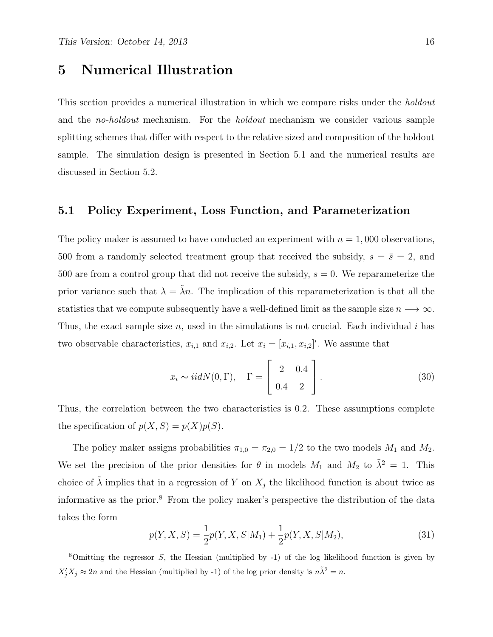### 5 Numerical Illustration

This section provides a numerical illustration in which we compare risks under the holdout and the *no-holdout* mechanism. For the *holdout* mechanism we consider various sample splitting schemes that differ with respect to the relative sized and composition of the holdout sample. The simulation design is presented in Section 5.1 and the numerical results are discussed in Section 5.2.

#### 5.1 Policy Experiment, Loss Function, and Parameterization

The policy maker is assumed to have conducted an experiment with  $n = 1,000$  observations, 500 from a randomly selected treatment group that received the subsidy,  $s = \bar{s} = 2$ , and 500 are from a control group that did not receive the subsidy,  $s = 0$ . We reparameterize the prior variance such that  $\lambda = \tilde{\lambda}n$ . The implication of this reparameterization is that all the statistics that we compute subsequently have a well-defined limit as the sample size  $n \longrightarrow \infty$ . Thus, the exact sample size n, used in the simulations is not crucial. Each individual i has two observable characteristics,  $x_{i,1}$  and  $x_{i,2}$ . Let  $x_i = [x_{i,1}, x_{i,2}]'$ . We assume that

$$
x_i \sim i i dN(0, \Gamma), \quad \Gamma = \begin{bmatrix} 2 & 0.4 \\ 0.4 & 2 \end{bmatrix}.
$$
 (30)

Thus, the correlation between the two characteristics is 0.2. These assumptions complete the specification of  $p(X, S) = p(X)p(S)$ .

The policy maker assigns probabilities  $\pi_{1,0} = \pi_{2,0} = 1/2$  to the two models  $M_1$  and  $M_2$ . We set the precision of the prior densities for  $\theta$  in models  $M_1$  and  $M_2$  to  $\tilde{\lambda}^2 = 1$ . This choice of  $\tilde{\lambda}$  implies that in a regression of Y on  $X_j$  the likelihood function is about twice as informative as the prior.<sup>8</sup> From the policy maker's perspective the distribution of the data takes the form

$$
p(Y, X, S) = \frac{1}{2}p(Y, X, S|M_1) + \frac{1}{2}p(Y, X, S|M_2),
$$
\n(31)

 $8$ Omitting the regressor S, the Hessian (multiplied by -1) of the log likelihood function is given by  $X'_j X_j \approx 2n$  and the Hessian (multiplied by -1) of the log prior density is  $n\tilde{\lambda}^2 = n$ .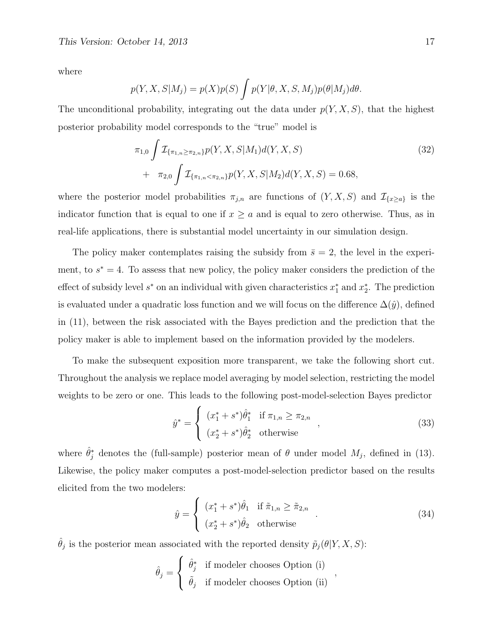where

$$
p(Y, X, S|M_j) = p(X)p(S) \int p(Y|\theta, X, S, M_j)p(\theta|M_j)d\theta.
$$

The unconditional probability, integrating out the data under  $p(Y, X, S)$ , that the highest posterior probability model corresponds to the "true" model is

$$
\pi_{1,0} \int \mathcal{I}_{\{\pi_{1,n} \geq \pi_{2,n}\}} p(Y, X, S | M_1) d(Y, X, S) \n+ \pi_{2,0} \int \mathcal{I}_{\{\pi_{1,n} < \pi_{2,n}\}} p(Y, X, S | M_2) d(Y, X, S) = 0.68,
$$
\n(32)

where the posterior model probabilities  $\pi_{j,n}$  are functions of  $(Y, X, S)$  and  $\mathcal{I}_{\{x\geq a\}}$  is the indicator function that is equal to one if  $x \ge a$  and is equal to zero otherwise. Thus, as in real-life applications, there is substantial model uncertainty in our simulation design.

The policy maker contemplates raising the subsidy from  $\bar{s} = 2$ , the level in the experiment, to  $s^* = 4$ . To assess that new policy, the policy maker considers the prediction of the effect of subsidy level  $s^*$  on an individual with given characteristics  $x_1^*$  and  $x_2^*$ . The prediction is evaluated under a quadratic loss function and we will focus on the difference  $\Delta(\hat{y})$ , defined in (11), between the risk associated with the Bayes prediction and the prediction that the policy maker is able to implement based on the information provided by the modelers.

To make the subsequent exposition more transparent, we take the following short cut. Throughout the analysis we replace model averaging by model selection, restricting the model weights to be zero or one. This leads to the following post-model-selection Bayes predictor

$$
\hat{y}^* = \begin{cases}\n(x_1^* + s^*)\hat{\theta}_1^* & \text{if } \pi_{1,n} \ge \pi_{2,n} \\
(x_2^* + s^*)\hat{\theta}_2^* & \text{otherwise}\n\end{cases},
$$
\n(33)

where  $\hat{\theta}_j^*$  denotes the (full-sample) posterior mean of  $\theta$  under model  $M_j$ , defined in (13). Likewise, the policy maker computes a post-model-selection predictor based on the results elicited from the two modelers:

$$
\hat{y} = \begin{cases}\n(x_1^* + s^*)\hat{\theta}_1 & \text{if } \tilde{\pi}_{1,n} \ge \tilde{\pi}_{2,n} \\
(x_2^* + s^*)\hat{\theta}_2 & \text{otherwise}\n\end{cases} \tag{34}
$$

,

 $\hat{\theta}_j$  is the posterior mean associated with the reported density  $\tilde{p}_j(\theta|Y, X, S)$ :

$$
\hat{\theta}_j = \begin{cases} \hat{\theta}_j^* & \text{if modeler chooses Option (i)} \\ \tilde{\theta}_j & \text{if modeler chooses Option (ii)} \end{cases}
$$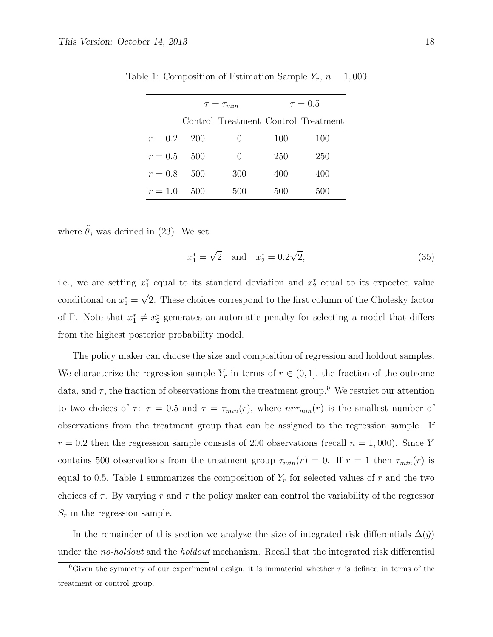|           | $\tau = \tau_{min}$ |                                     | $\tau = 0.5$ |     |
|-----------|---------------------|-------------------------------------|--------------|-----|
|           |                     | Control Treatment Control Treatment |              |     |
| $r=0.2$   | 200                 |                                     | 100          | 100 |
| $r = 0.5$ | 500                 | $\left( \right)$                    | 250          | 250 |
| $r = 0.8$ | 500                 | 300                                 | 400          | 400 |
| $r = 1.0$ | 500                 | 500                                 | 500          | 500 |

Table 1: Composition of Estimation Sample  $Y_r$ ,  $n = 1,000$ 

where  $\tilde{\theta}_j$  was defined in (23). We set

$$
x_1^* = \sqrt{2}
$$
 and  $x_2^* = 0.2\sqrt{2}$ , (35)

i.e., we are setting  $x_1^*$  equal to its standard deviation and  $x_2^*$  equal to its expected value conditional on  $x_1^* =$ √ 2. These choices correspond to the first column of the Cholesky factor of Γ. Note that  $x_1^* \neq x_2^*$  generates an automatic penalty for selecting a model that differs from the highest posterior probability model.

The policy maker can choose the size and composition of regression and holdout samples. We characterize the regression sample  $Y_r$  in terms of  $r \in (0,1]$ , the fraction of the outcome data, and  $\tau$ , the fraction of observations from the treatment group.<sup>9</sup> We restrict our attention to two choices of  $\tau$ :  $\tau = 0.5$  and  $\tau = \tau_{min}(r)$ , where  $n r \tau_{min}(r)$  is the smallest number of observations from the treatment group that can be assigned to the regression sample. If  $r = 0.2$  then the regression sample consists of 200 observations (recall  $n = 1,000$ ). Since Y contains 500 observations from the treatment group  $\tau_{min}(r) = 0$ . If  $r = 1$  then  $\tau_{min}(r)$  is equal to 0.5. Table 1 summarizes the composition of  $Y_r$  for selected values of r and the two choices of  $\tau$ . By varying r and  $\tau$  the policy maker can control the variability of the regressor  $S_r$  in the regression sample.

In the remainder of this section we analyze the size of integrated risk differentials  $\Delta(\hat{y})$ under the *no-holdout* and the *holdout* mechanism. Recall that the integrated risk differential

<sup>&</sup>lt;sup>9</sup>Given the symmetry of our experimental design, it is immaterial whether  $\tau$  is defined in terms of the treatment or control group.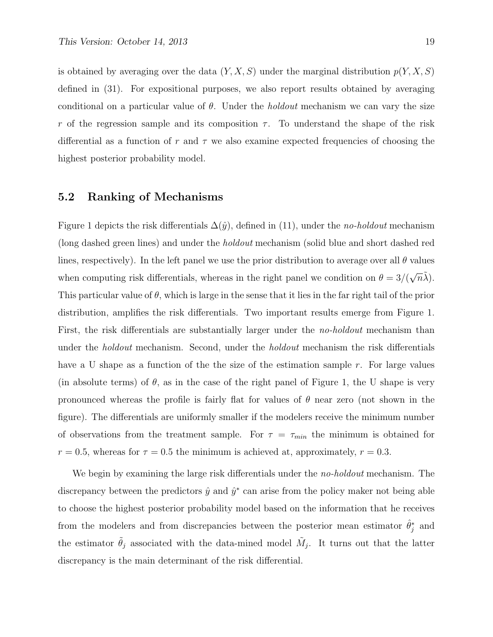is obtained by averaging over the data  $(Y, X, S)$  under the marginal distribution  $p(Y, X, S)$ defined in (31). For expositional purposes, we also report results obtained by averaging conditional on a particular value of  $\theta$ . Under the *holdout* mechanism we can vary the size r of the regression sample and its composition  $\tau$ . To understand the shape of the risk differential as a function of r and  $\tau$  we also examine expected frequencies of choosing the highest posterior probability model.

#### 5.2 Ranking of Mechanisms

Figure 1 depicts the risk differentials  $\Delta(\hat{y})$ , defined in (11), under the *no-holdout* mechanism (long dashed green lines) and under the holdout mechanism (solid blue and short dashed red lines, respectively). In the left panel we use the prior distribution to average over all  $\theta$  values when computing risk differentials, whereas in the right panel we condition on  $\theta = 3/($  $\sqrt{n}\tilde{\lambda}$ ). This particular value of  $\theta$ , which is large in the sense that it lies in the far right tail of the prior distribution, amplifies the risk differentials. Two important results emerge from Figure 1. First, the risk differentials are substantially larger under the *no-holdout* mechanism than under the *holdout* mechanism. Second, under the *holdout* mechanism the risk differentials have a U shape as a function of the the size of the estimation sample  $r$ . For large values (in absolute terms) of  $\theta$ , as in the case of the right panel of Figure 1, the U shape is very pronounced whereas the profile is fairly flat for values of  $\theta$  near zero (not shown in the figure). The differentials are uniformly smaller if the modelers receive the minimum number of observations from the treatment sample. For  $\tau = \tau_{min}$  the minimum is obtained for  $r = 0.5$ , whereas for  $\tau = 0.5$  the minimum is achieved at, approximately,  $r = 0.3$ .

We begin by examining the large risk differentials under the *no-holdout* mechanism. The discrepancy between the predictors  $\hat{y}$  and  $\hat{y}^*$  can arise from the policy maker not being able to choose the highest posterior probability model based on the information that he receives from the modelers and from discrepancies between the posterior mean estimator  $\hat{\theta}^*_{j}$  and the estimator  $\tilde{\theta}_j$  associated with the data-mined model  $\tilde{M}_j$ . It turns out that the latter discrepancy is the main determinant of the risk differential.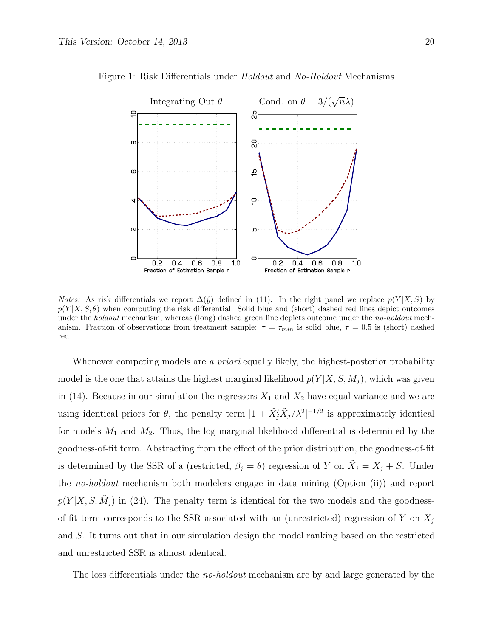

#### Figure 1: Risk Differentials under *Holdout* and *No-Holdout* Mechanisms

*Notes:* As risk differentials we report  $\Delta(\hat{y})$  defined in (11). In the right panel we replace  $p(Y|X, S)$  by  $p(Y|X, S, \theta)$  when computing the risk differential. Solid blue and (short) dashed red lines depict outcomes under the *holdout* mechanism, whereas (long) dashed green line depicts outcome under the *no-holdout* mechanism. Fraction of observations from treatment sample:  $\tau = \tau_{min}$  is solid blue,  $\tau = 0.5$  is (short) dashed red.

Whenever competing models are a priori equally likely, the highest-posterior probability model is the one that attains the highest marginal likelihood  $p(Y|X, S, M_j)$ , which was given in (14). Because in our simulation the regressors  $X_1$  and  $X_2$  have equal variance and we are using identical priors for  $\theta$ , the penalty term  $|1 + \tilde{X}_j' \tilde{X}_j/\lambda^2|^{-1/2}$  is approximately identical for models  $M_1$  and  $M_2$ . Thus, the log marginal likelihood differential is determined by the goodness-of-fit term. Abstracting from the effect of the prior distribution, the goodness-of-fit is determined by the SSR of a (restricted,  $\beta_j = \theta$ ) regression of Y on  $\tilde{X}_j = X_j + S$ . Under the no-holdout mechanism both modelers engage in data mining (Option (ii)) and report  $p(Y|X, S, \tilde{M}_j)$  in (24). The penalty term is identical for the two models and the goodnessof-fit term corresponds to the SSR associated with an (unrestricted) regression of Y on  $X_j$ and S. It turns out that in our simulation design the model ranking based on the restricted and unrestricted SSR is almost identical.

The loss differentials under the *no-holdout* mechanism are by and large generated by the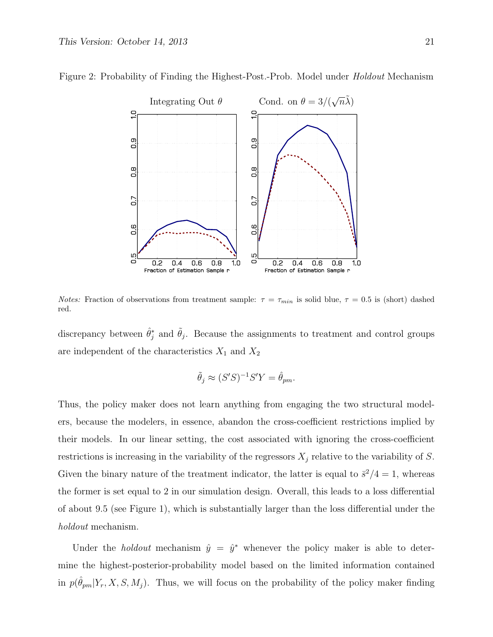

Figure 2: Probability of Finding the Highest-Post.-Prob. Model under *Holdout* Mechanism

Notes: Fraction of observations from treatment sample:  $\tau = \tau_{min}$  is solid blue,  $\tau = 0.5$  is (short) dashed red.

discrepancy between  $\hat{\theta}_j^*$  and  $\tilde{\theta}_j$ . Because the assignments to treatment and control groups are independent of the characteristics  $X_1$  and  $X_2$ 

$$
\tilde{\theta}_j \approx (S'S)^{-1}S'Y = \hat{\theta}_{pm}.
$$

Thus, the policy maker does not learn anything from engaging the two structural modelers, because the modelers, in essence, abandon the cross-coefficient restrictions implied by their models. In our linear setting, the cost associated with ignoring the cross-coefficient restrictions is increasing in the variability of the regressors  $X_j$  relative to the variability of  $S$ . Given the binary nature of the treatment indicator, the latter is equal to  $\bar{s}^2/4 = 1$ , whereas the former is set equal to 2 in our simulation design. Overall, this leads to a loss differential of about 9.5 (see Figure 1), which is substantially larger than the loss differential under the holdout mechanism.

Under the *holdout* mechanism  $\hat{y} = \hat{y}^*$  whenever the policy maker is able to determine the highest-posterior-probability model based on the limited information contained in  $p(\hat{\theta}_{pm}|Y_r, X, S, M_j)$ . Thus, we will focus on the probability of the policy maker finding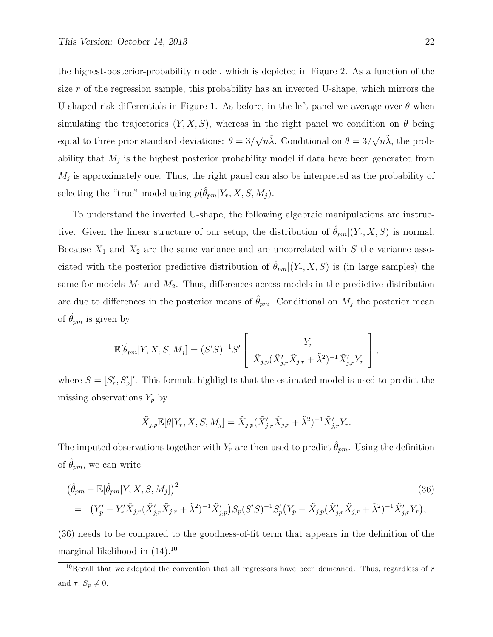the highest-posterior-probability model, which is depicted in Figure 2. As a function of the size  $r$  of the regression sample, this probability has an inverted U-shape, which mirrors the U-shaped risk differentials in Figure 1. As before, in the left panel we average over  $\theta$  when simulating the trajectories  $(Y, X, S)$ , whereas in the right panel we condition on  $\theta$  being equal to three prior standard deviations:  $\theta = 3/$  $\sqrt{n}\tilde{\lambda}$ . Conditional on  $\theta = 3/\sqrt{n}\tilde{\lambda}$ , the probability that  $M_j$  is the highest posterior probability model if data have been generated from  $M_j$  is approximately one. Thus, the right panel can also be interpreted as the probability of selecting the "true" model using  $p(\hat{\theta}_{pm}|Y_r, X, S, M_j)$ .

To understand the inverted U-shape, the following algebraic manipulations are instructive. Given the linear structure of our setup, the distribution of  $\hat{\theta}_{pm} | (Y_r, X, S)$  is normal. Because  $X_1$  and  $X_2$  are the same variance and are uncorrelated with S the variance associated with the posterior predictive distribution of  $\hat{\theta}_{pm} | (Y_r, X, S)$  is (in large samples) the same for models  $M_1$  and  $M_2$ . Thus, differences across models in the predictive distribution are due to differences in the posterior means of  $\hat{\theta}_{pm}$ . Conditional on  $M_j$  the posterior mean of  $\theta_{pm}$  is given by

$$
\mathbb{E}[\hat{\theta}_{pm}|Y,X,S,M_j] = (S'S)^{-1}S'\left[\begin{array}{c} Y_r\\ \tilde{X}_{j,p}(\tilde{X}'_{j,r}\tilde{X}_{j,r}+\tilde{\lambda}^2)^{-1}\tilde{X}'_{j,r}Y_r \end{array}\right],
$$

where  $S = [S'_r, S'_p]'$ . This formula highlights that the estimated model is used to predict the missing observations  $Y_p$  by

$$
\tilde{X}_{j,p}\mathbb{E}[\theta|Y_r,X,S,M_j]=\tilde{X}_{j,p}(\tilde{X}_{j,r}'\tilde{X}_{j,r}+\tilde{\lambda}^2)^{-1}\tilde{X}_{j,r}'Y_r.
$$

The imputed observations together with  $Y_r$  are then used to predict  $\hat{\theta}_{pm}$ . Using the definition of  $\hat{\theta}_{pm}$ , we can write

$$
\begin{split}\n&\left(\hat{\theta}_{pm} - \mathbb{E}[\hat{\theta}_{pm}|Y, X, S, M_j]\right)^2 \\
&= \left(Y'_p - Y'_r \tilde{X}_{j,r} (\tilde{X}'_{j,r} \tilde{X}_{j,r} + \tilde{\lambda}^2)^{-1} \tilde{X}'_{j,p}\right) S_p(S'S)^{-1} S'_p \left(Y_p - \tilde{X}_{j,p} (\tilde{X}'_{j,r} \tilde{X}_{j,r} + \tilde{\lambda}^2)^{-1} \tilde{X}'_{j,r} Y_r\right),\n\end{split}
$$
\n(36)

(36) needs to be compared to the goodness-of-fit term that appears in the definition of the marginal likelihood in  $(14).^{10}$ 

<sup>&</sup>lt;sup>10</sup>Recall that we adopted the convention that all regressors have been demeaned. Thus, regardless of  $r$ and  $\tau$ ,  $S_p \neq 0$ .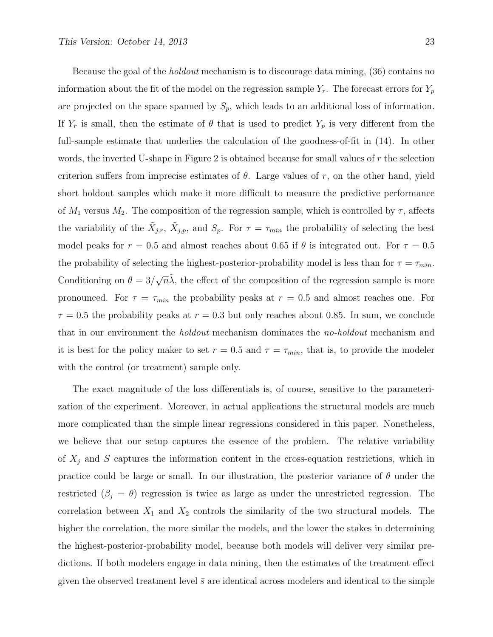Because the goal of the *holdout* mechanism is to discourage data mining, (36) contains no information about the fit of the model on the regression sample  $Y_r$ . The forecast errors for  $Y_p$ are projected on the space spanned by  $S_p$ , which leads to an additional loss of information. If  $Y_r$  is small, then the estimate of  $\theta$  that is used to predict  $Y_p$  is very different from the full-sample estimate that underlies the calculation of the goodness-of-fit in (14). In other words, the inverted U-shape in Figure 2 is obtained because for small values of  $r$  the selection criterion suffers from imprecise estimates of  $\theta$ . Large values of r, on the other hand, yield short holdout samples which make it more difficult to measure the predictive performance of  $M_1$  versus  $M_2$ . The composition of the regression sample, which is controlled by  $\tau$ , affects the variability of the  $\tilde{X}_{j,r}$ ,  $\tilde{X}_{j,p}$ , and  $S_p$ . For  $\tau = \tau_{min}$  the probability of selecting the best model peaks for  $r = 0.5$  and almost reaches about 0.65 if  $\theta$  is integrated out. For  $\tau = 0.5$ the probability of selecting the highest-posterior-probability model is less than for  $\tau = \tau_{min}$ . Conditioning on  $\theta = 3/$  $\sqrt{n}\tilde{\lambda}$ , the effect of the composition of the regression sample is more pronounced. For  $\tau = \tau_{min}$  the probability peaks at  $r = 0.5$  and almost reaches one. For  $\tau = 0.5$  the probability peaks at  $r = 0.3$  but only reaches about 0.85. In sum, we conclude that in our environment the holdout mechanism dominates the no-holdout mechanism and it is best for the policy maker to set  $r = 0.5$  and  $\tau = \tau_{min}$ , that is, to provide the modeler with the control (or treatment) sample only.

The exact magnitude of the loss differentials is, of course, sensitive to the parameterization of the experiment. Moreover, in actual applications the structural models are much more complicated than the simple linear regressions considered in this paper. Nonetheless, we believe that our setup captures the essence of the problem. The relative variability of  $X_j$  and S captures the information content in the cross-equation restrictions, which in practice could be large or small. In our illustration, the posterior variance of  $\theta$  under the restricted ( $\beta_j = \theta$ ) regression is twice as large as under the unrestricted regression. The correlation between  $X_1$  and  $X_2$  controls the similarity of the two structural models. The higher the correlation, the more similar the models, and the lower the stakes in determining the highest-posterior-probability model, because both models will deliver very similar predictions. If both modelers engage in data mining, then the estimates of the treatment effect given the observed treatment level  $\bar{s}$  are identical across modelers and identical to the simple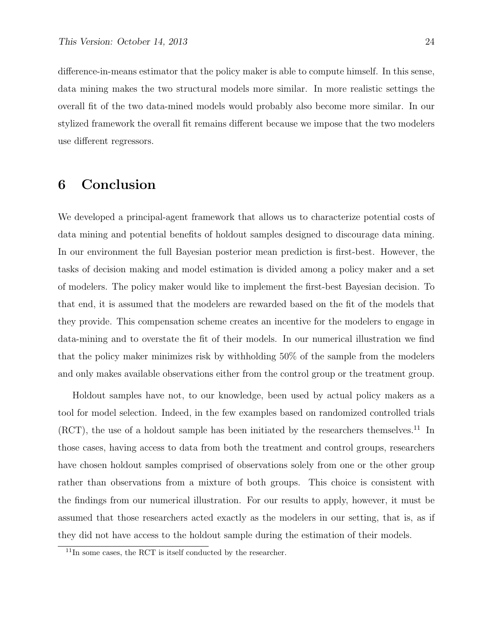difference-in-means estimator that the policy maker is able to compute himself. In this sense, data mining makes the two structural models more similar. In more realistic settings the overall fit of the two data-mined models would probably also become more similar. In our stylized framework the overall fit remains different because we impose that the two modelers use different regressors.

### 6 Conclusion

We developed a principal-agent framework that allows us to characterize potential costs of data mining and potential benefits of holdout samples designed to discourage data mining. In our environment the full Bayesian posterior mean prediction is first-best. However, the tasks of decision making and model estimation is divided among a policy maker and a set of modelers. The policy maker would like to implement the first-best Bayesian decision. To that end, it is assumed that the modelers are rewarded based on the fit of the models that they provide. This compensation scheme creates an incentive for the modelers to engage in data-mining and to overstate the fit of their models. In our numerical illustration we find that the policy maker minimizes risk by withholding 50% of the sample from the modelers and only makes available observations either from the control group or the treatment group.

Holdout samples have not, to our knowledge, been used by actual policy makers as a tool for model selection. Indeed, in the few examples based on randomized controlled trials  $(RCT)$ , the use of a holdout sample has been initiated by the researchers themselves.<sup>11</sup> In those cases, having access to data from both the treatment and control groups, researchers have chosen holdout samples comprised of observations solely from one or the other group rather than observations from a mixture of both groups. This choice is consistent with the findings from our numerical illustration. For our results to apply, however, it must be assumed that those researchers acted exactly as the modelers in our setting, that is, as if they did not have access to the holdout sample during the estimation of their models.

<sup>&</sup>lt;sup>11</sup>In some cases, the RCT is itself conducted by the researcher.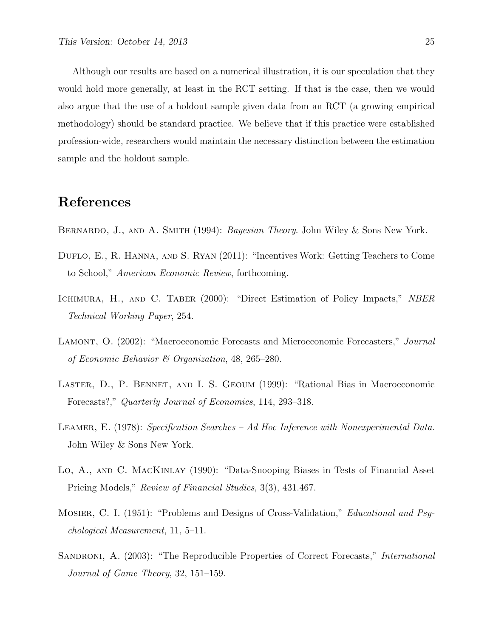Although our results are based on a numerical illustration, it is our speculation that they would hold more generally, at least in the RCT setting. If that is the case, then we would also argue that the use of a holdout sample given data from an RCT (a growing empirical methodology) should be standard practice. We believe that if this practice were established profession-wide, researchers would maintain the necessary distinction between the estimation sample and the holdout sample.

### References

- BERNARDO, J., AND A. SMITH (1994): *Bayesian Theory*. John Wiley & Sons New York.
- Duflo, E., R. Hanna, and S. Ryan (2011): "Incentives Work: Getting Teachers to Come to School," American Economic Review, forthcoming.
- ICHIMURA, H., AND C. TABER (2000): "Direct Estimation of Policy Impacts," NBER Technical Working Paper, 254.
- LAMONT, O. (2002): "Macroeconomic Forecasts and Microeconomic Forecasters," Journal of Economic Behavior & Organization, 48, 265–280.
- Laster, D., P. Bennet, and I. S. Geoum (1999): "Rational Bias in Macroeconomic Forecasts?," Quarterly Journal of Economics, 114, 293–318.
- LEAMER, E. (1978): Specification Searches Ad Hoc Inference with Nonexperimental Data. John Wiley & Sons New York.
- Lo, A., and C. MacKinlay (1990): "Data-Snooping Biases in Tests of Financial Asset Pricing Models," *Review of Financial Studies*, 3(3), 431.467.
- MOSIER, C. I. (1951): "Problems and Designs of Cross-Validation," *Educational and Psy*chological Measurement, 11, 5–11.
- SANDRONI, A. (2003): "The Reproducible Properties of Correct Forecasts," *International* Journal of Game Theory, 32, 151–159.